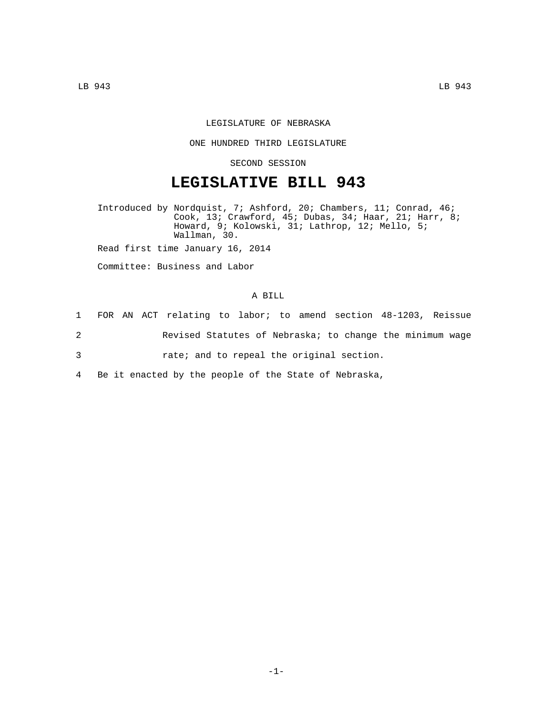## LEGISLATURE OF NEBRASKA

## ONE HUNDRED THIRD LEGISLATURE

SECOND SESSION

## **LEGISLATIVE BILL 943**

Introduced by Nordquist, 7; Ashford, 20; Chambers, 11; Conrad, 46; Cook, 13; Crawford, 45; Dubas, 34; Haar, 21; Harr, 8; Howard, 9; Kolowski, 31; Lathrop, 12; Mello, 5; Wallman, 30.

Read first time January 16, 2014

Committee: Business and Labor

## A BILL

|   | 1 FOR AN ACT relating to labor; to amend section 48-1203, Reissue |
|---|-------------------------------------------------------------------|
| 2 | Revised Statutes of Nebraska; to change the minimum wage          |
| 3 | rate; and to repeal the original section.                         |
|   | 4 Be it enacted by the people of the State of Nebraska,           |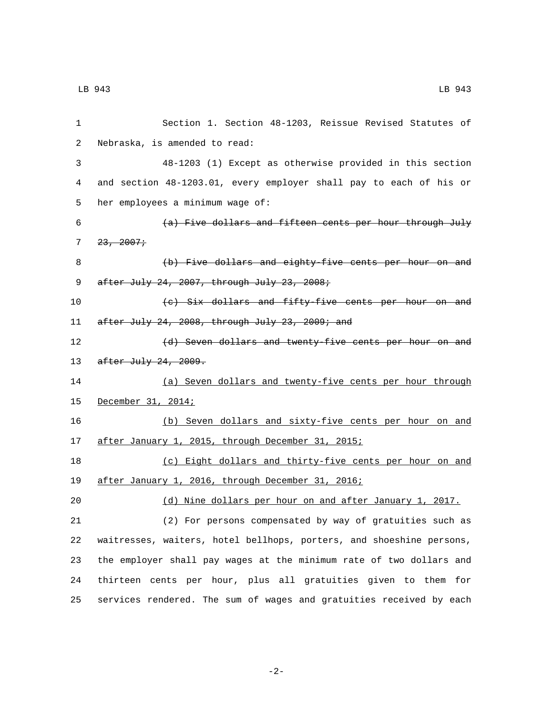| 1  | Section 1. Section 48-1203, Reissue Revised Statutes of              |
|----|----------------------------------------------------------------------|
| 2  | Nebraska, is amended to read:                                        |
| 3  | 48-1203 (1) Except as otherwise provided in this section             |
| 4  | and section 48-1203.01, every employer shall pay to each of his or   |
| 5  | her employees a minimum wage of:                                     |
| 6  | (a) Five dollars and fifteen cents per hour through July             |
| 7  | 23, 2007                                                             |
| 8  | (b) Five dollars and eighty-five cents per hour on and               |
| 9  | after July 24, 2007, through July 23, 2008;                          |
| 10 | (c) Six dollars and fifty-five cents per hour on and                 |
| 11 | after July 24, 2008, through July 23, 2009; and                      |
| 12 | (d) Seven dollars and twenty five cents per hour on and              |
| 13 | $after$ July 24, 2009.                                               |
| 14 | (a) Seven dollars and twenty-five cents per hour through             |
| 15 | December 31, 2014;                                                   |
| 16 | (b) Seven dollars and sixty-five cents per hour on and               |
| 17 | after January 1, 2015, through December 31, 2015;                    |
| 18 | (c) Eight dollars and thirty-five cents per hour on and              |
| 19 | after January 1, 2016, through December 31, 2016;                    |
| 20 | (d) Nine dollars per hour on and after January 1, 2017.              |
| 21 | (2) For persons compensated by way of gratuities such as             |
| 22 | waitresses, waiters, hotel bellhops, porters, and shoeshine persons, |
| 23 | the employer shall pay wages at the minimum rate of two dollars and  |
| 24 | thirteen cents per hour, plus all gratuities given to them for       |
| 25 | services rendered. The sum of wages and gratuities received by each  |